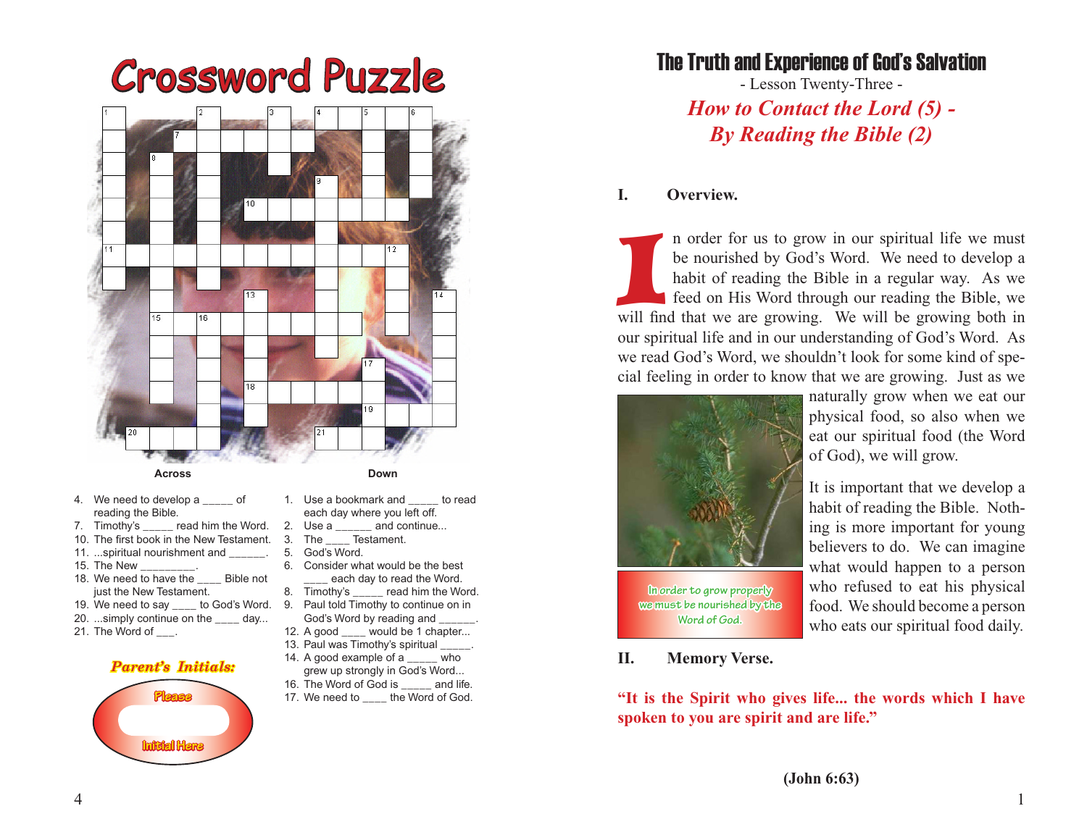# Crossword Puzzle



- 4. We need to develop a cof reading the Bible.
- $\Box$  read him the Word.
- 10. The first book in the New Testament.
- 11. ...spiritual nourishment and
- 15. The New
- 18. We need to have the \_\_\_\_ Bible not just the New Testament.
- 19. We need to say \_\_\_\_ to God's Word.
- 20. ...simply continue on the \_\_\_\_ day...
- 21. The Word of .

### *Parent's Initials:*



- 1. Use a bookmark and to read each day where you left off.
- 
- 2. Use a \_\_\_\_\_ and continue...<br>3. The \_\_\_\_ Testament. The \_\_\_\_\_ Testament.
- 5. God's Word.
- 6. Consider what would be the best each day to read the Word.
- 8. Timothy's \_\_\_\_\_ read him the Word. 9. Paul told Timothy to continue on in
- God's Word by reading and \_\_\_\_\_\_.
- 12. A good \_\_\_\_ would be 1 chapter... 13. Paul was Timothy's spiritual
- 14. A good example of a \_\_\_\_\_ who
- grew up strongly in God's Word...
- 16. The Word of God is \_\_\_\_\_ and life.
- 17. We need to \_\_\_\_ the Word of God.

# The Truth and Experience of God's Salvation

- Lesson Twenty-Three - *How to Contact the Lord (5) - By Reading the Bible (2)*

## **I. Overview.**

In order for us to grow in our spiritual life we must<br>be nourished by God's Word. We need to develop a<br>habit of reading the Bible in a regular way. As we<br>feed on His Word through our reading the Bible, we<br>will find that we n order for us to grow in our spiritual life we must be nourished by God's Word. We need to develop a habit of reading the Bible in a regular way. As we feed on His Word through our reading the Bible, we our spiritual life and in our understanding of God's Word. As we read God's Word, we shouldn't look for some kind of special feeling in order to know that we are growing. Just as we



**we must be nourished by the Word of God.**

naturally grow when we eat our physical food, so also when we eat our spiritual food (the Word of God), we will grow.

It is important that we develop a habit of reading the Bible. Nothing is more important for young believers to do. We can imagine what would happen to a person who refused to eat his physical food. We should become a person who eats our spiritual food daily.

### **II. Memory Verse.**

**"It is the Spirit who gives life... the words which I have spoken to you are spirit and are life."**